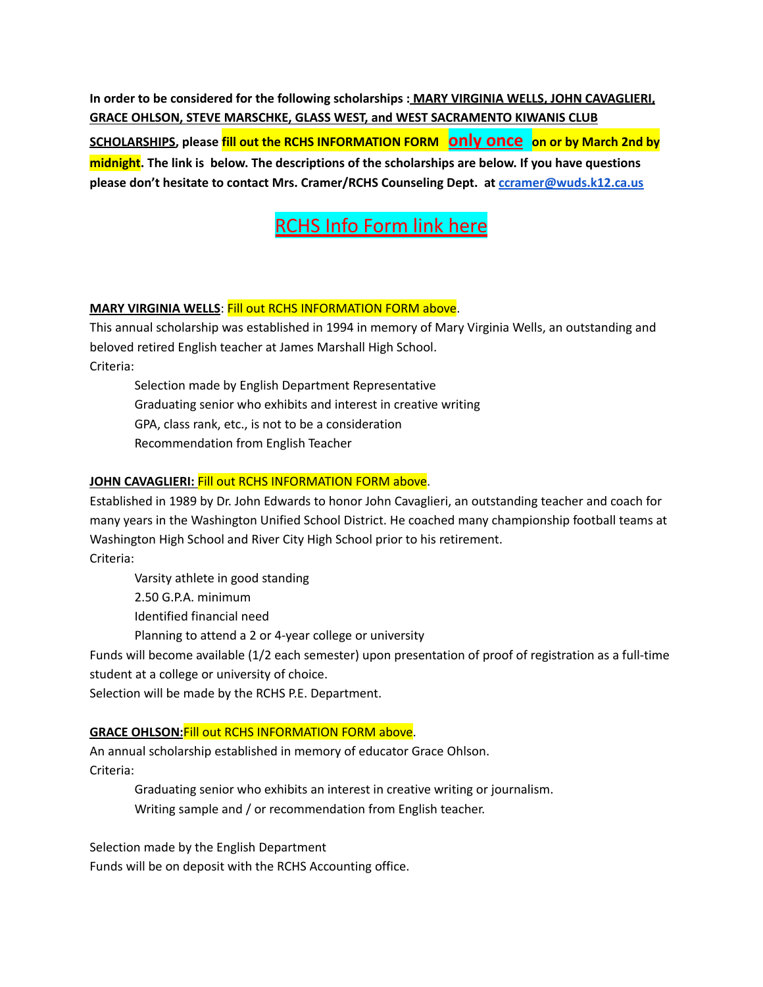**In order to be considered for the following scholarships : MARY VIRGINIA WELLS, JOHN CAVAGLIERI, GRACE OHLSON, STEVE MARSCHKE, GLASS WEST, and WEST SACRAMENTO KIWANIS CLUB**

**SCHOLARSHIPS, please fill out the RCHS INFORMATION FORM only once on or by March 2nd by midnight. The link is below. The descriptions of the scholarships are below. If you have questions please don't hesitate to contact Mrs. Cramer/RCHS Counseling Dept. at [ccramer@wuds.k12.ca.us](mailto:ccramer@wuds.k12.ca.us)**

[RCHS](https://docs.google.com/forms/d/e/1FAIpQLSfTQQVmC-cJRgxUZjMiyinSHP7S_pO4V-Vd98gKJkN7tAnIZg/viewform) Info Form link here

### **MARY VIRGINIA WELLS**: Fill out RCHS INFORMATION FORM above.

This annual scholarship was established in 1994 in memory of Mary Virginia Wells, an outstanding and beloved retired English teacher at James Marshall High School. Criteria:

Selection made by English Department Representative Graduating senior who exhibits and interest in creative writing GPA, class rank, etc., is not to be a consideration Recommendation from English Teacher

### **JOHN CAVAGLIERI:** Fill out RCHS INFORMATION FORM above.

Established in 1989 by Dr. John Edwards to honor John Cavaglieri, an outstanding teacher and coach for many years in the Washington Unified School District. He coached many championship football teams at Washington High School and River City High School prior to his retirement. Criteria:

Varsity athlete in good standing

2.50 G.P.A. minimum

Identified financial need

Planning to attend a 2 or 4-year college or university

Funds will become available (1/2 each semester) upon presentation of proof of registration as a full-time student at a college or university of choice.

Selection will be made by the RCHS P.E. Department.

# **GRACE OHLSON:**Fill out RCHS INFORMATION FORM above.

An annual scholarship established in memory of educator Grace Ohlson. Criteria:

> Graduating senior who exhibits an interest in creative writing or journalism. Writing sample and / or recommendation from English teacher.

Selection made by the English Department Funds will be on deposit with the RCHS Accounting office.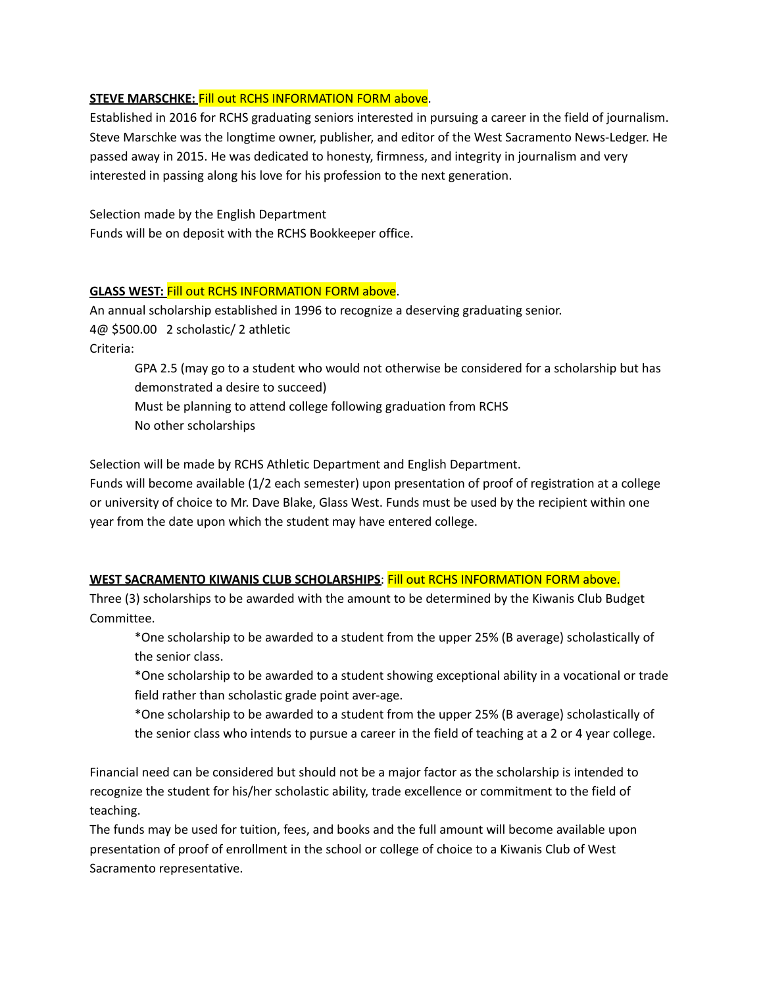### **STEVE MARSCHKE:** Fill out RCHS INFORMATION FORM above.

Established in 2016 for RCHS graduating seniors interested in pursuing a career in the field of journalism. Steve Marschke was the longtime owner, publisher, and editor of the West Sacramento News-Ledger. He passed away in 2015. He was dedicated to honesty, firmness, and integrity in journalism and very interested in passing along his love for his profession to the next generation.

Selection made by the English Department Funds will be on deposit with the RCHS Bookkeeper office.

#### **GLASS WEST:** Fill out RCHS INFORMATION FORM above.

An annual scholarship established in 1996 to recognize a deserving graduating senior. 4@ \$500.00 2 scholastic/ 2 athletic Criteria:

GPA 2.5 (may go to a student who would not otherwise be considered for a scholarship but has demonstrated a desire to succeed)

Must be planning to attend college following graduation from RCHS

No other scholarships

Selection will be made by RCHS Athletic Department and English Department.

Funds will become available (1/2 each semester) upon presentation of proof of registration at a college or university of choice to Mr. Dave Blake, Glass West. Funds must be used by the recipient within one year from the date upon which the student may have entered college.

# **WEST SACRAMENTO KIWANIS CLUB SCHOLARSHIPS**: Fill out RCHS INFORMATION FORM above.

Three (3) scholarships to be awarded with the amount to be determined by the Kiwanis Club Budget Committee.

\*One scholarship to be awarded to a student from the upper 25% (B average) scholastically of the senior class.

\*One scholarship to be awarded to a student showing exceptional ability in a vocational or trade field rather than scholastic grade point aver-age.

\*One scholarship to be awarded to a student from the upper 25% (B average) scholastically of the senior class who intends to pursue a career in the field of teaching at a 2 or 4 year college.

Financial need can be considered but should not be a major factor as the scholarship is intended to recognize the student for his/her scholastic ability, trade excellence or commitment to the field of teaching.

The funds may be used for tuition, fees, and books and the full amount will become available upon presentation of proof of enrollment in the school or college of choice to a Kiwanis Club of West Sacramento representative.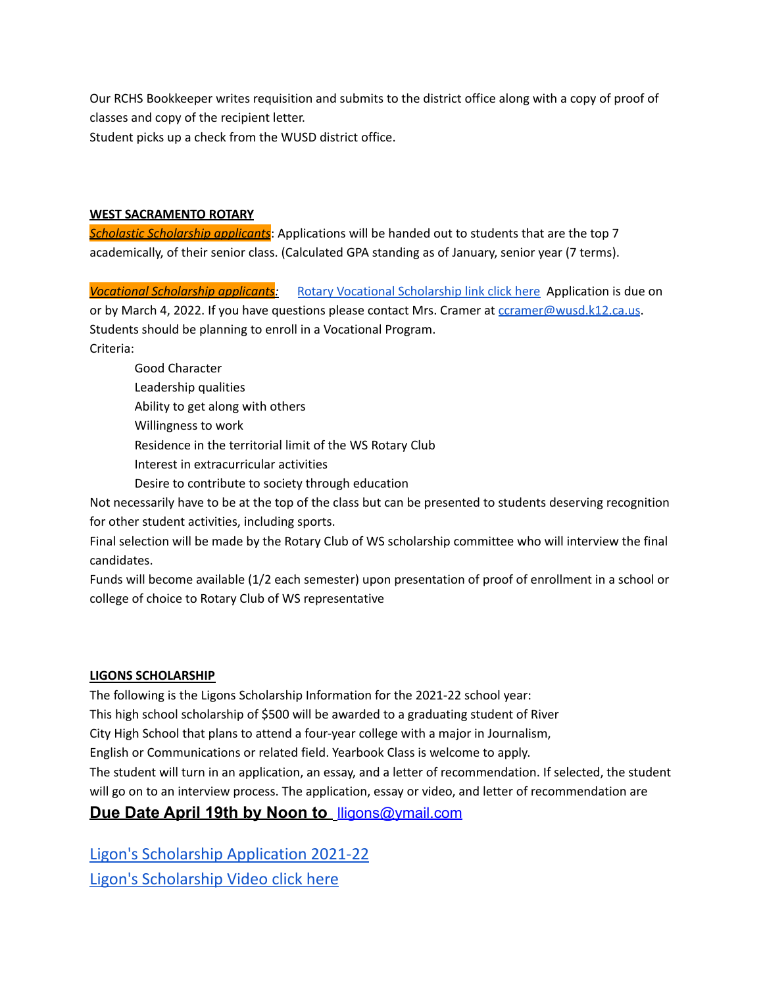Our RCHS Bookkeeper writes requisition and submits to the district office along with a copy of proof of classes and copy of the recipient letter.

Student picks up a check from the WUSD district office.

#### **WEST SACRAMENTO ROTARY**

*Scholastic Scholarship applicants*: Applications will be handed out to students that are the top 7 academically, of their senior class. (Calculated GPA standing as of January, senior year (7 terms).

*Vocational Scholarship applicants:* Rotary Vocational [Scholarship](https://docs.google.com/document/d/1EPPWOcC8SrmTCA9SWYad5HM2ANZO4e9y/edit) link click here Application is due on or by March 4, 2022. If you have questions please contact Mrs. Cramer at coramer@wusd.k12.ca.us. Students should be planning to enroll in a Vocational Program.

Criteria:

Good Character Leadership qualities Ability to get along with others Willingness to work Residence in the territorial limit of the WS Rotary Club Interest in extracurricular activities

Desire to contribute to society through education

Not necessarily have to be at the top of the class but can be presented to students deserving recognition for other student activities, including sports.

Final selection will be made by the Rotary Club of WS scholarship committee who will interview the final candidates.

Funds will become available (1/2 each semester) upon presentation of proof of enrollment in a school or college of choice to Rotary Club of WS representative

# **LIGONS SCHOLARSHIP**

The following is the Ligons Scholarship Information for the 2021-22 school year: This high school scholarship of \$500 will be awarded to a graduating student of River City High School that plans to attend a four-year college with a major in Journalism, English or Communications or related field. Yearbook Class is welcome to apply. The student will turn in an application, an essay, and a letter of recommendation. If selected, the student will go on to an interview process. The application, essay or video, and letter of recommendation are **Due Date April 19th by Noon to** [lligons@ymail.com](mailto:lligons@ymail.com)

Ligon's [Scholarship](https://docs.google.com/document/d/1OPz1qTluMUGAv5S2kM9gqLglZ9xc0PX_/edit) Application 2021-22 Ligon's [Scholarship](https://drive.google.com/file/d/19VHtCbjKcOy5J48Pa41vKaWTl-eOg23B/view) Video click here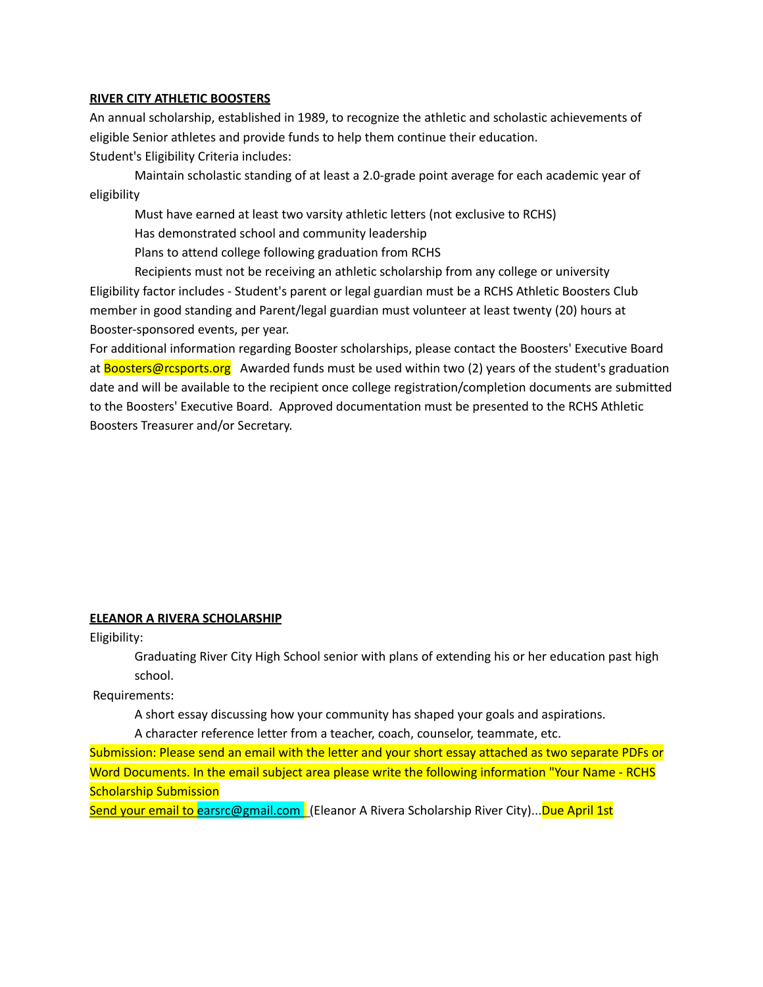#### **RIVER CITY ATHLETIC BOOSTERS**

An annual scholarship, established in 1989, to recognize the athletic and scholastic achievements of eligible Senior athletes and provide funds to help them continue their education. Student's Eligibility Criteria includes:

Maintain scholastic standing of at least a 2.0-grade point average for each academic year of eligibility

Must have earned at least two varsity athletic letters (not exclusive to RCHS)

Has demonstrated school and community leadership

Plans to attend college following graduation from RCHS

Recipients must not be receiving an athletic scholarship from any college or university Eligibility factor includes - Student's parent or legal guardian must be a RCHS Athletic Boosters Club member in good standing and Parent/legal guardian must volunteer at least twenty (20) hours at Booster-sponsored events, per year.

For additional information regarding Booster scholarships, please contact the Boosters' Executive Board at Boosters@rcsports.org Awarded funds must be used within two (2) years of the student's graduation date and will be available to the recipient once college registration/completion documents are submitted to the Boosters' Executive Board. Approved documentation must be presented to the RCHS Athletic Boosters Treasurer and/or Secretary.

#### **ELEANOR A RIVERA SCHOLARSHIP**

Eligibility:

Graduating River City High School senior with plans of extending his or her education past high school.

Requirements:

A short essay discussing how your community has shaped your goals and aspirations.

A character reference letter from a teacher, coach, counselor, teammate, etc.

Submission: Please send an email with the letter and your short essay attached as two separate PDFs or Word Documents. In the email subject area please write the following information "Your Name - RCHS Scholarship Submission

Send your email to earsrc@gmail.com (Eleanor A Rivera Scholarship River City)...Due April 1st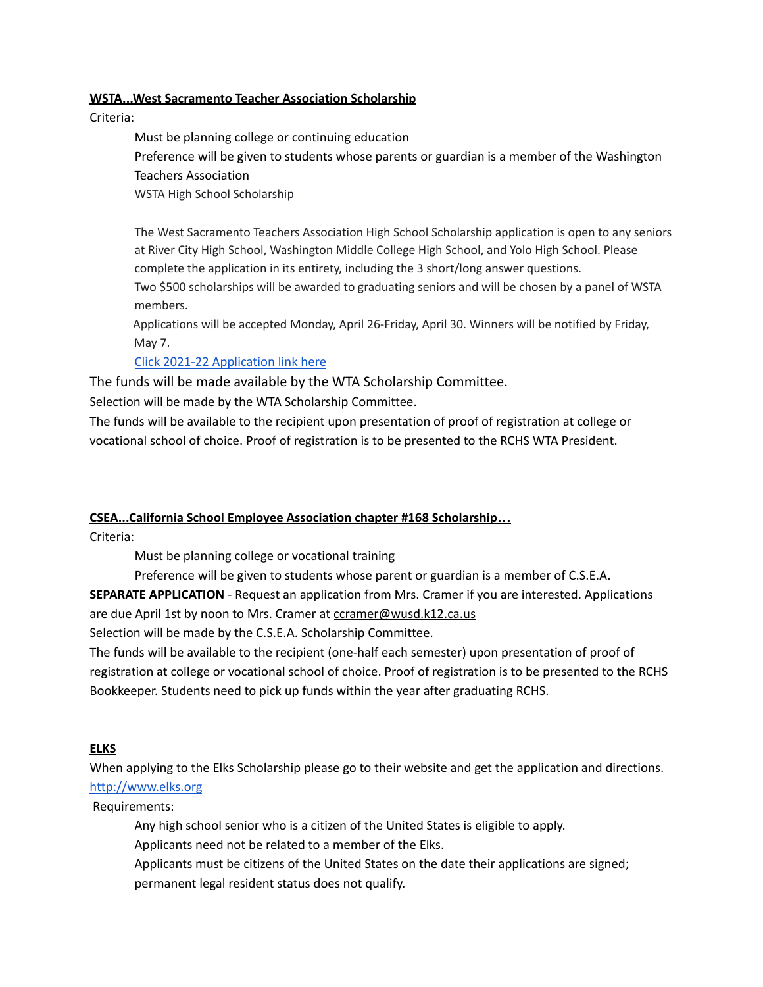#### **WSTA...West Sacramento Teacher Association Scholarship**

Criteria:

Must be planning college or continuing education Preference will be given to students whose parents or guardian is a member of the Washington Teachers Association

WSTA High School Scholarship

The West Sacramento Teachers Association High School Scholarship application is open to any seniors at River City High School, Washington Middle College High School, and Yolo High School. Please complete the application in its entirety, including the 3 short/long answer questions.

Two \$500 scholarships will be awarded to graduating seniors and will be chosen by a panel of WSTA members.

Applications will be accepted Monday, April 26-Friday, April 30. Winners will be notified by Friday, May 7.

# Click 2021-22 [Application](https://docs.google.com/forms/d/1K5IURE5zrFsLd6zNyTOtFa_6QbwrhMMzuYlHz0cG-dw/edit?ts=618b06ee) link here

The funds will be made available by the WTA Scholarship Committee.

Selection will be made by the WTA Scholarship Committee.

The funds will be available to the recipient upon presentation of proof of registration at college or vocational school of choice. Proof of registration is to be presented to the RCHS WTA President.

# **CSEA...California School Employee Association chapter #168 Scholarship…**

Criteria:

Must be planning college or vocational training

Preference will be given to students whose parent or guardian is a member of C.S.E.A.

**SEPARATE APPLICATION** - Request an application from Mrs. Cramer if you are interested. Applications are due April 1st by noon to Mrs. Cramer at ccramer@wusd.k12.ca.us

Selection will be made by the C.S.E.A. Scholarship Committee.

The funds will be available to the recipient (one-half each semester) upon presentation of proof of registration at college or vocational school of choice. Proof of registration is to be presented to the RCHS Bookkeeper. Students need to pick up funds within the year after graduating RCHS.

#### **ELKS**

When applying to the Elks Scholarship please go to their website and get the application and directions. [http://www.elks.org](http://www.elks.org/)

Requirements:

Any high school senior who is a citizen of the United States is eligible to apply.

Applicants need not be related to a member of the Elks.

Applicants must be citizens of the United States on the date their applications are signed; permanent legal resident status does not qualify.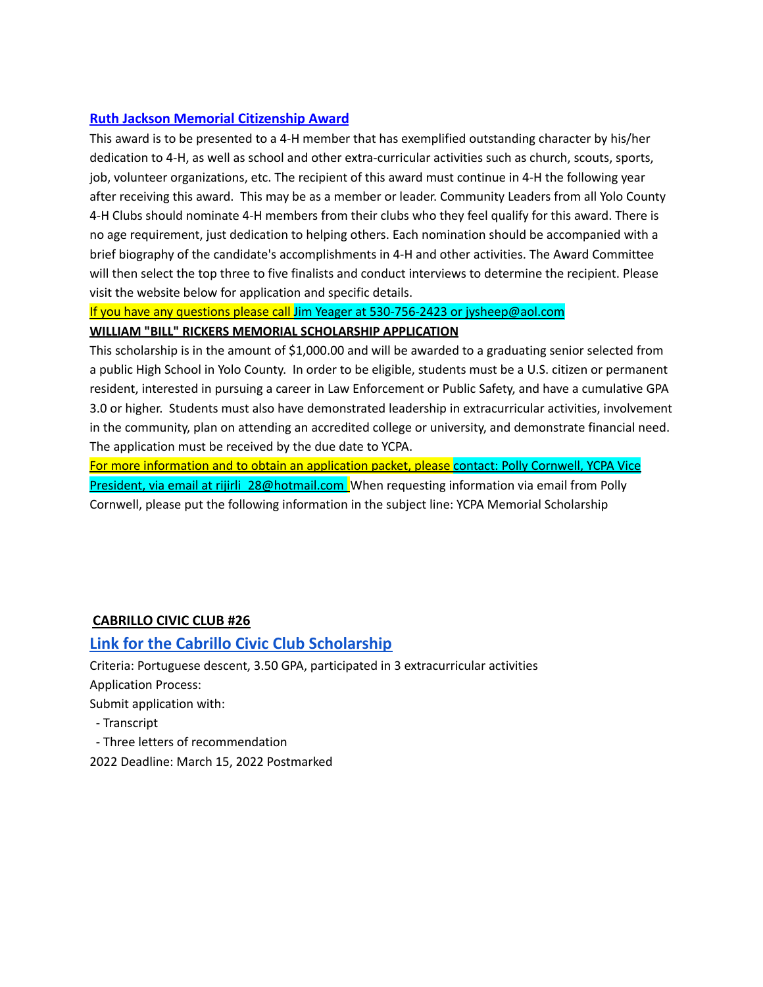### **[Ruth Jackson Memorial Citizenship Award](http://ceyolo.ucanr.edu/4-H_Program/additionalresources/Scholarships_Awards/)**

This award is to be presented to a 4-H member that has exemplified outstanding character by his/her dedication to 4-H, as well as school and other extra-curricular activities such as church, scouts, sports, job, volunteer organizations, etc. The recipient of this award must continue in 4-H the following year after receiving this award. This may be as a member or leader. Community Leaders from all Yolo County 4-H Clubs should nominate 4-H members from their clubs who they feel qualify for this award. There is no age requirement, just dedication to helping others. Each nomination should be accompanied with a brief biography of the candidate's accomplishments in 4-H and other activities. The Award Committee will then select the top three to five finalists and conduct interviews to determine the recipient. Please visit the website below for application and specific details.

If you have any questions please call Jim Yeager at 530-756-2423 or jysheep@aol.com **WILLIAM "BILL" RICKERS MEMORIAL SCHOLARSHIP APPLICATION**

This scholarship is in the amount of \$1,000.00 and will be awarded to a graduating senior selected from a public High School in Yolo County. In order to be eligible, students must be a U.S. citizen or permanent resident, interested in pursuing a career in Law Enforcement or Public Safety, and have a cumulative GPA 3.0 or higher. Students must also have demonstrated leadership in extracurricular activities, involvement in the community, plan on attending an accredited college or university, and demonstrate financial need. The application must be received by the due date to YCPA.

For more information and to obtain an application packet, please contact: Polly Cornwell, YCPA Vice President, via email at rijirli\_28@hotmail.com When requesting information via email from Polly Cornwell, please put the following information in the subject line: YCPA Memorial Scholarship

# **CABRILLO CIVIC CLUB #26**

# **Link for the Cabrillo Civic Club [Scholarship](http://www.cabrillocivicclubs.org/scholarship.asp)**

Criteria: Portuguese descent, 3.50 GPA, participated in 3 extracurricular activities Application Process:

Submit application with:

- Transcript
- Three letters of recommendation
- 2022 Deadline: March 15, 2022 Postmarked